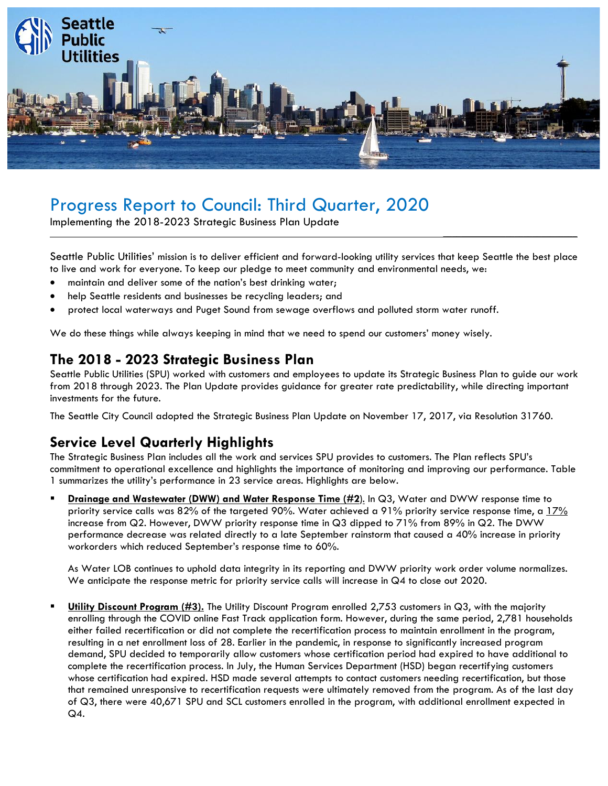

# Progress Report to Council: Third Quarter, 2020

Implementing the 2018-2023 Strategic Business Plan Update

Seattle Public Utilities' mission is to deliver efficient and forward-looking utility services that keep Seattle the best place to live and work for everyone. To keep our pledge to meet community and environmental needs, we:

\_\_\_\_\_\_\_\_\_\_\_\_\_\_\_\_\_\_\_\_\_\_\_\_\_\_\_\_\_\_

- maintain and deliver some of the nation's best drinking water;
- help Seattle residents and businesses be recycling leaders; and
- protect local waterways and Puget Sound from sewage overflows and polluted storm water runoff.

We do these things while always keeping in mind that we need to spend our customers' money wisely.

#### **The 2018 - 2023 Strategic Business Plan**

Seattle Public Utilities (SPU) worked with customers and employees to update its Strategic Business Plan to guide our work from 2018 through 2023. The Plan Update provides guidance for greater rate predictability, while directing important investments for the future.

The Seattle City Council adopted the Strategic Business Plan Update on November 17, 2017, via Resolution 31760.

### **Service Level Quarterly Highlights**

The Strategic Business Plan includes all the work and services SPU provides to customers. The Plan reflects SPU's commitment to operational excellence and highlights the importance of monitoring and improving our performance. Table 1 summarizes the utility's performance in 23 service areas. Highlights are below.

▪ **Drainage and Wastewater (DWW) and Water Response Time (#2**). In Q3, Water and DWW response time to priority service calls was 82% of the targeted 90%. Water achieved a 91% priority service response time, a 17% increase from Q2. However, DWW priority response time in Q3 dipped to 71% from 89% in Q2. The DWW performance decrease was related directly to a late September rainstorm that caused a 40% increase in priority workorders which reduced September's response time to 60%.

As Water LOB continues to uphold data integrity in its reporting and DWW priority work order volume normalizes. We anticipate the response metric for priority service calls will increase in Q4 to close out 2020.

**Utility Discount Program (#3).** The Utility Discount Program enrolled 2,753 customers in Q3, with the majority enrolling through the COVID online Fast Track application form. However, during the same period, 2,781 households either failed recertification or did not complete the recertification process to maintain enrollment in the program, resulting in a net enrollment loss of 28. Earlier in the pandemic, in response to significantly increased program demand, SPU decided to temporarily allow customers whose certification period had expired to have additional to complete the recertification process. In July, the Human Services Department (HSD) began recertifying customers whose certification had expired. HSD made several attempts to contact customers needing recertification, but those that remained unresponsive to recertification requests were ultimately removed from the program. As of the last day of Q3, there were 40,671 SPU and SCL customers enrolled in the program, with additional enrollment expected in Q4.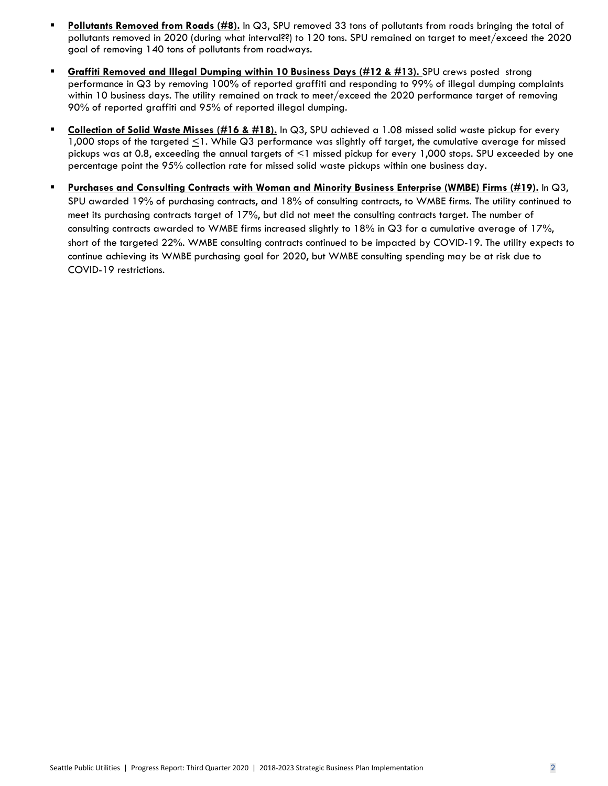- **Pollutants Removed from Roads (#8).** In Q3, SPU removed 33 tons of pollutants from roads bringing the total of pollutants removed in 2020 (during what interval??) to 120 tons. SPU remained on target to meet/exceed the 2020 goal of removing 140 tons of pollutants from roadways.
- **Graffiti Removed and Illegal Dumping within 10 Business Days (#12 & #13).** SPU crews posted strong performance in Q3 by removing 100% of reported graffiti and responding to 99% of illegal dumping complaints within 10 business days. The utility remained on track to meet/exceed the 2020 performance target of removing 90% of reported graffiti and 95% of reported illegal dumping.
- **Collection of Solid Waste Misses (#16 & #18).** In Q3, SPU achieved a 1.08 missed solid waste pickup for every 1,000 stops of the targeted  $\leq$ 1. While Q3 performance was slightly off target, the cumulative average for missed pickups was at 0.8, exceeding the annual targets of <1 missed pickup for every 1,000 stops. SPU exceeded by one percentage point the 95% collection rate for missed solid waste pickups within one business day.
- **Purchases and Consulting Contracts with Woman and Minority Business Enterprise (WMBE) Firms (#19).** In Q3, SPU awarded 19% of purchasing contracts, and 18% of consulting contracts, to WMBE firms. The utility continued to meet its purchasing contracts target of 17%, but did not meet the consulting contracts target. The number of consulting contracts awarded to WMBE firms increased slightly to 18% in Q3 for a cumulative average of 17%, short of the targeted 22%. WMBE consulting contracts continued to be impacted by COVID-19. The utility expects to continue achieving its WMBE purchasing goal for 2020, but WMBE consulting spending may be at risk due to COVID-19 restrictions.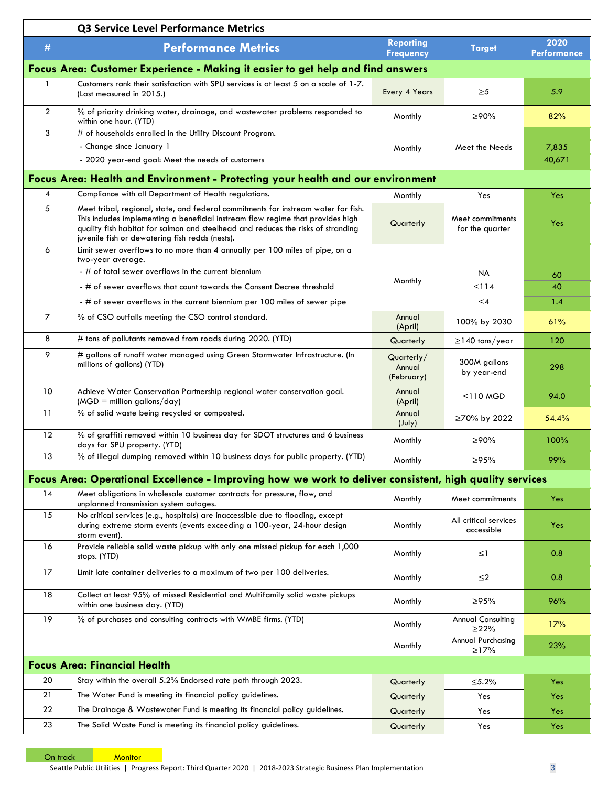|                                     | Q3 Service Level Performance Metrics                                                                                                                                                                                                                                                                         |                                      |                                        |                            |  |  |  |  |
|-------------------------------------|--------------------------------------------------------------------------------------------------------------------------------------------------------------------------------------------------------------------------------------------------------------------------------------------------------------|--------------------------------------|----------------------------------------|----------------------------|--|--|--|--|
| $\#$                                | <b>Performance Metrics</b>                                                                                                                                                                                                                                                                                   | <b>Reporting</b><br><b>Frequency</b> | <b>Target</b>                          | 2020<br><b>Performance</b> |  |  |  |  |
|                                     | Focus Area: Customer Experience - Making it easier to get help and find answers                                                                                                                                                                                                                              |                                      |                                        |                            |  |  |  |  |
| -1                                  | Customers rank their satisfaction with SPU services is at least 5 on a scale of 1-7.<br>(Last measured in 2015.)                                                                                                                                                                                             | Every 4 Years                        | $\geq 5$                               | 5.9                        |  |  |  |  |
| $\overline{2}$                      | % of priority drinking water, drainage, and wastewater problems responded to<br>within one hour. (YTD)                                                                                                                                                                                                       | Monthly                              | ≥90%                                   | 82%                        |  |  |  |  |
| 3                                   | # of households enrolled in the Utility Discount Program.                                                                                                                                                                                                                                                    |                                      |                                        |                            |  |  |  |  |
|                                     | - Change since January 1                                                                                                                                                                                                                                                                                     | Monthly                              | Meet the Needs                         | 7,835                      |  |  |  |  |
|                                     | - 2020 year-end goal: Meet the needs of customers                                                                                                                                                                                                                                                            |                                      |                                        | 40,671                     |  |  |  |  |
|                                     | Focus Area: Health and Environment - Protecting your health and our environment                                                                                                                                                                                                                              |                                      |                                        |                            |  |  |  |  |
| 4                                   | Compliance with all Department of Health regulations.                                                                                                                                                                                                                                                        | Monthly                              | Yes                                    | Yes                        |  |  |  |  |
| 5                                   | Meet tribal, regional, state, and federal commitments for instream water for fish.<br>This includes implementing a beneficial instream flow regime that provides high<br>quality fish habitat for salmon and steelhead and reduces the risks of stranding<br>juvenile fish or dewatering fish redds (nests). | Quarterly                            | Meet commitments<br>for the quarter    | Yes                        |  |  |  |  |
| 6                                   | Limit sewer overflows to no more than 4 annually per 100 miles of pipe, on a<br>two-year average.                                                                                                                                                                                                            |                                      |                                        |                            |  |  |  |  |
|                                     | - # of total sewer overflows in the current biennium                                                                                                                                                                                                                                                         |                                      | <b>NA</b>                              | 60                         |  |  |  |  |
|                                     | - # of sewer overflows that count towards the Consent Decree threshold                                                                                                                                                                                                                                       | Monthly                              | < 114                                  | 40                         |  |  |  |  |
|                                     | - # of sewer overflows in the current biennium per 100 miles of sewer pipe                                                                                                                                                                                                                                   |                                      | $\leq 4$                               | 1.4                        |  |  |  |  |
| $\overline{7}$                      | % of CSO outfalls meeting the CSO control standard.                                                                                                                                                                                                                                                          | Annual<br>(April)                    | 100% by 2030                           | 61%                        |  |  |  |  |
| 8                                   | # tons of pollutants removed from roads during 2020. (YTD)                                                                                                                                                                                                                                                   | Quarterly                            | $\geq$ 140 tons/year                   | 120                        |  |  |  |  |
| 9                                   | # gallons of runoff water managed using Green Stormwater Infrastructure. (In<br>millions of gallons) (YTD)                                                                                                                                                                                                   | Quarterly/<br>Annual<br>(February)   | 300M gallons<br>by year-end            | 298                        |  |  |  |  |
| 10                                  | Achieve Water Conservation Partnership regional water conservation goal.<br>$(MGD =$ million gallons/day)                                                                                                                                                                                                    | Annual<br>(April)                    | $<$ 110 MGD                            | 94.0                       |  |  |  |  |
| 11                                  | % of solid waste being recycled or composted.                                                                                                                                                                                                                                                                | Annual<br>$(\text{July})$            | ≥70% by 2022                           | 54.4%                      |  |  |  |  |
| 12                                  | % of graffiti removed within 10 business day for SDOT structures and 6 business<br>days for SPU property. (YTD)                                                                                                                                                                                              | Monthly                              | ≥90%                                   | 100%                       |  |  |  |  |
| 13                                  | % of illegal dumping removed within 10 business days for public property. (YTD)                                                                                                                                                                                                                              | Monthly                              | $\geq 95\%$                            | 99%                        |  |  |  |  |
|                                     | Focus Area: Operational Excellence - Improving how we work to deliver consistent, high quality services                                                                                                                                                                                                      |                                      |                                        |                            |  |  |  |  |
| 14                                  | Meet obligations in wholesale customer contracts for pressure, flow, and                                                                                                                                                                                                                                     | Monthly                              | Meet commitments                       | Yes                        |  |  |  |  |
| 15                                  | unplanned transmission system outages.<br>No critical services (e.g., hospitals) are inaccessible due to flooding, except<br>during extreme storm events (events exceeding a 100-year, 24-hour design                                                                                                        | Monthly                              | All critical services<br>accessible    | Yes                        |  |  |  |  |
| 16                                  | storm event).<br>Provide reliable solid waste pickup with only one missed pickup for each 1,000<br>stops. (YTD)                                                                                                                                                                                              | Monthly                              | $\leq$ 1                               | 0.8                        |  |  |  |  |
| 17                                  | Limit late container deliveries to a maximum of two per 100 deliveries.                                                                                                                                                                                                                                      | Monthly                              | $\leq$ 2                               | 0.8                        |  |  |  |  |
| 18                                  | Collect at least 95% of missed Residential and Multifamily solid waste pickups<br>within one business day. (YTD)                                                                                                                                                                                             | Monthly                              | ≥95%                                   | 96%                        |  |  |  |  |
| 19                                  | % of purchases and consulting contracts with WMBE firms. (YTD)                                                                                                                                                                                                                                               | Monthly                              | <b>Annual Consulting</b><br>$\geq$ 22% | 17%                        |  |  |  |  |
|                                     |                                                                                                                                                                                                                                                                                                              | Monthly                              | <b>Annual Purchasing</b><br>≥17%       | 23%                        |  |  |  |  |
| <b>Focus Area: Financial Health</b> |                                                                                                                                                                                                                                                                                                              |                                      |                                        |                            |  |  |  |  |
| 20                                  | Stay within the overall 5.2% Endorsed rate path through 2023.                                                                                                                                                                                                                                                | Quarterly                            | ≤5.2%                                  | Yes                        |  |  |  |  |
| 21                                  | The Water Fund is meeting its financial policy guidelines.                                                                                                                                                                                                                                                   | Quarterly                            | Yes                                    | Yes                        |  |  |  |  |
| 22                                  | The Drainage & Wastewater Fund is meeting its financial policy guidelines.                                                                                                                                                                                                                                   | Quarterly                            | Yes                                    | Yes                        |  |  |  |  |
| 23                                  | The Solid Waste Fund is meeting its financial policy guidelines.                                                                                                                                                                                                                                             | Quarterly                            | Yes                                    | Yes                        |  |  |  |  |

On track Monitor

Seattle Public Utilities | Progress Report: Third Quarter 2020 | 2018-2023 Strategic Business Plan Implementation 3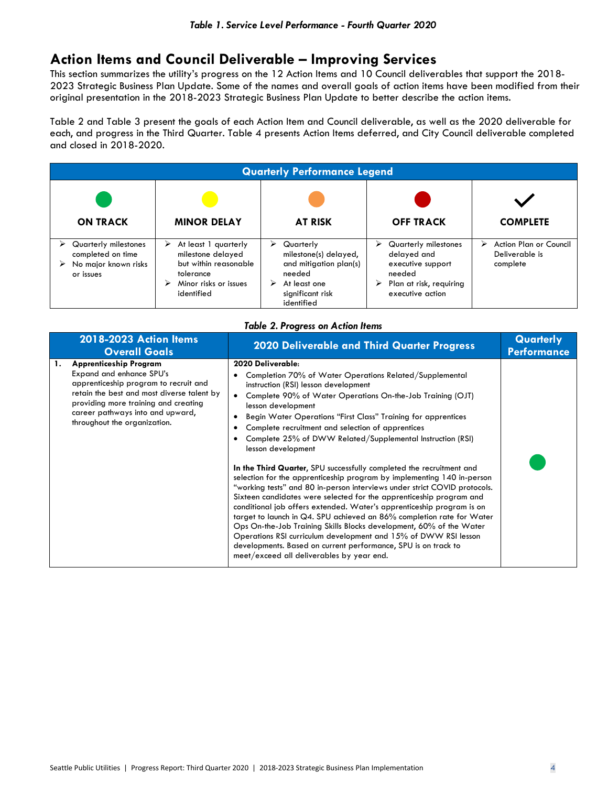## **Action Items and Council Deliverable – Improving Services**

This section summarizes the utility's progress on the 12 Action Items and 10 Council deliverables that support the 2018- 2023 Strategic Business Plan Update. Some of the names and overall goals of action items have been modified from their original presentation in the 2018-2023 Strategic Business Plan Update to better describe the action items.

Table 2 and Table 3 present the goals of each Action Item and Council deliverable, as well as the 2020 deliverable for each, and progress in the Third Quarter. Table 4 presents Action Items deferred, and City Council deliverable completed and closed in 2018-2020.

| <b>Quarterly Performance Legend</b>                                            |                                                                                                                             |                                                                                                                                    |                                                                                                                             |                                                           |  |
|--------------------------------------------------------------------------------|-----------------------------------------------------------------------------------------------------------------------------|------------------------------------------------------------------------------------------------------------------------------------|-----------------------------------------------------------------------------------------------------------------------------|-----------------------------------------------------------|--|
| <b>ON TRACK</b>                                                                | <b>MINOR DELAY</b>                                                                                                          | <b>AT RISK</b>                                                                                                                     | <b>OFF TRACK</b>                                                                                                            | <b>COMPLETE</b>                                           |  |
| Quarterly milestones<br>completed on time<br>No major known risks<br>or issues | At least 1 quarterly<br>⋗<br>milestone delayed<br>but within reasonable<br>tolerance<br>Minor risks or issues<br>identified | ➤<br>Quarterly<br>milestone(s) delayed,<br>and mitigation plan(s)<br>needed<br>At least one<br>⋗<br>significant risk<br>identified | Quarterly milestones<br>⋗<br>delayed and<br>executive support<br>needed<br>Plan at risk, requiring<br>➤<br>executive action | Action Plan or Council<br>⋗<br>Deliverable is<br>complete |  |

|  | <b>Table 2. Progress on Action Items</b> |  |  |
|--|------------------------------------------|--|--|
|--|------------------------------------------|--|--|

| 2018-2023 Action Items<br><b>Overall Goals</b>                                                                                                                                                                                                                     | <b>2020 Deliverable and Third Quarter Progress</b>                                                                                                                                                                                                                                                                                                                                                                                                                                                                                                                                                                                                                                                                                                                                                                                                                                                                                                                                                                                                                                                                                               | Quarterly<br><b>Performance</b> |
|--------------------------------------------------------------------------------------------------------------------------------------------------------------------------------------------------------------------------------------------------------------------|--------------------------------------------------------------------------------------------------------------------------------------------------------------------------------------------------------------------------------------------------------------------------------------------------------------------------------------------------------------------------------------------------------------------------------------------------------------------------------------------------------------------------------------------------------------------------------------------------------------------------------------------------------------------------------------------------------------------------------------------------------------------------------------------------------------------------------------------------------------------------------------------------------------------------------------------------------------------------------------------------------------------------------------------------------------------------------------------------------------------------------------------------|---------------------------------|
| <b>Apprenticeship Program</b><br>1.<br>Expand and enhance SPU's<br>apprenticeship program to recruit and<br>retain the best and most diverse talent by<br>providing more training and creating<br>career pathways into and upward,<br>throughout the organization. | 2020 Deliverable:<br>Completion 70% of Water Operations Related/Supplemental<br>instruction (RSI) lesson development<br>Complete 90% of Water Operations On-the-Job Training (OJT)<br>$\bullet$<br>lesson development<br>Begin Water Operations "First Class" Training for apprentices<br>Complete recruitment and selection of apprentices<br>Complete 25% of DWW Related/Supplemental Instruction (RSI)<br>lesson development<br>In the Third Quarter, SPU successfully completed the recruitment and<br>selection for the apprenticeship program by implementing 140 in-person<br>"working tests" and 80 in-person interviews under strict COVID protocols.<br>Sixteen candidates were selected for the apprenticeship program and<br>conditional job offers extended. Water's apprenticeship program is on<br>target to launch in Q4. SPU achieved an 86% completion rate for Water<br>Ops On-the-Job Training Skills Blocks development, 60% of the Water<br>Operations RSI curriculum development and 15% of DWW RSI lesson<br>developments. Based on current performance, SPU is on track to<br>meet/exceed all deliverables by year end. |                                 |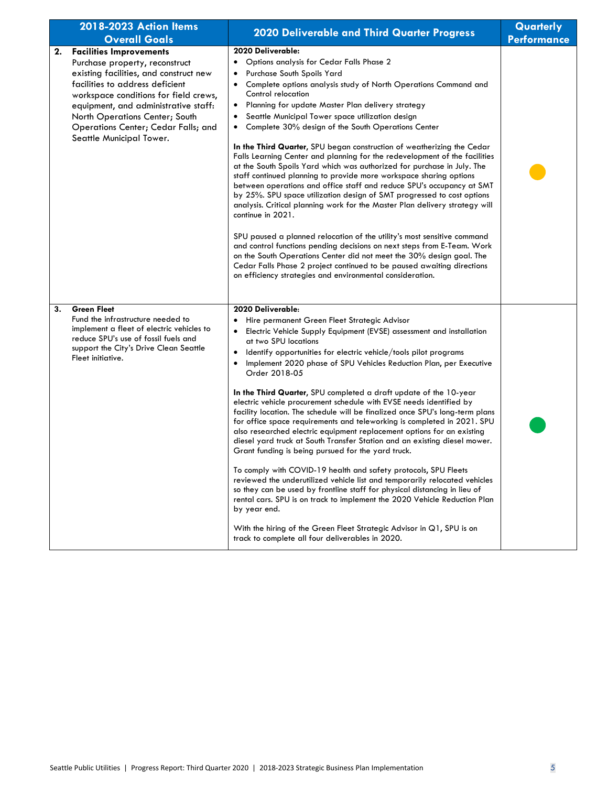| 2018-2023 Action Items<br><b>Overall Goals</b>                                                                                                                                                                                                                                                                                            | 2020 Deliverable and Third Quarter Progress                                                                                                                                                                                                                                                                                                                                                                                                                                                                                                                                                                                                                                                                                                                                                                                                                                                                                                                                                                                                                                                                                                                                                                                                                                                                                                    | Quarterly<br><b>Performance</b> |
|-------------------------------------------------------------------------------------------------------------------------------------------------------------------------------------------------------------------------------------------------------------------------------------------------------------------------------------------|------------------------------------------------------------------------------------------------------------------------------------------------------------------------------------------------------------------------------------------------------------------------------------------------------------------------------------------------------------------------------------------------------------------------------------------------------------------------------------------------------------------------------------------------------------------------------------------------------------------------------------------------------------------------------------------------------------------------------------------------------------------------------------------------------------------------------------------------------------------------------------------------------------------------------------------------------------------------------------------------------------------------------------------------------------------------------------------------------------------------------------------------------------------------------------------------------------------------------------------------------------------------------------------------------------------------------------------------|---------------------------------|
| <b>Facilities Improvements</b><br>2.<br>Purchase property, reconstruct<br>existing facilities, and construct new<br>facilities to address deficient<br>workspace conditions for field crews,<br>equipment, and administrative staff:<br>North Operations Center; South<br>Operations Center; Cedar Falls; and<br>Seattle Municipal Tower. | 2020 Deliverable:<br>Options analysis for Cedar Falls Phase 2<br>$\bullet$<br>Purchase South Spoils Yard<br>٠<br>Complete options analysis study of North Operations Command and<br>٠<br>Control relocation<br>Planning for update Master Plan delivery strategy<br>$\bullet$<br>Seattle Municipal Tower space utilization design<br>٠<br>Complete 30% design of the South Operations Center<br>$\bullet$<br>In the Third Quarter, SPU began construction of weatherizing the Cedar<br>Falls Learning Center and planning for the redevelopment of the facilities<br>at the South Spoils Yard which was authorized for purchase in July. The<br>staff continued planning to provide more workspace sharing options<br>between operations and office staff and reduce SPU's occupancy at SMT<br>by 25%. SPU space utilization design of SMT progressed to cost options<br>analysis. Critical planning work for the Master Plan delivery strategy will<br>continue in 2021.<br>SPU paused a planned relocation of the utility's most sensitive command<br>and control functions pending decisions on next steps from E-Team. Work<br>on the South Operations Center did not meet the 30% design goal. The<br>Cedar Falls Phase 2 project continued to be paused awaiting directions<br>on efficiency strategies and environmental consideration. |                                 |
| <b>Green Fleet</b><br>3.<br>Fund the infrastructure needed to<br>implement a fleet of electric vehicles to<br>reduce SPU's use of fossil fuels and<br>support the City's Drive Clean Seattle<br>Fleet initiative.                                                                                                                         | 2020 Deliverable:<br>Hire permanent Green Fleet Strategic Advisor<br>Electric Vehicle Supply Equipment (EVSE) assessment and installation<br>٠<br>at two SPU locations<br>Identify opportunities for electric vehicle/tools pilot programs<br>$\bullet$<br>Implement 2020 phase of SPU Vehicles Reduction Plan, per Executive<br>$\bullet$<br>Order 2018-05<br>In the Third Quarter, SPU completed a draft update of the 10-year<br>electric vehicle procurement schedule with EVSE needs identified by<br>facility location. The schedule will be finalized once SPU's long-term plans<br>for office space requirements and teleworking is completed in 2021. SPU<br>also researched electric equipment replacement options for an existing<br>diesel yard truck at South Transfer Station and an existing diesel mower.<br>Grant funding is being pursued for the yard truck.<br>To comply with COVID-19 health and safety protocols, SPU Fleets<br>reviewed the underutilized vehicle list and temporarily relocated vehicles<br>so they can be used by frontline staff for physical distancing in lieu of<br>rental cars. SPU is on track to implement the 2020 Vehicle Reduction Plan<br>by year end.<br>With the hiring of the Green Fleet Strategic Advisor in Q1, SPU is on<br>track to complete all four deliverables in 2020.        |                                 |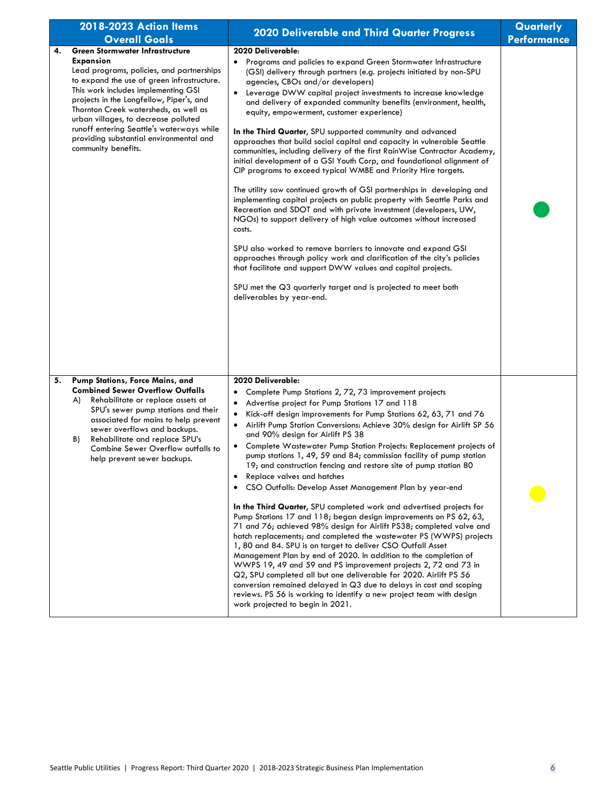|    | 2018-2023 Action Items<br><b>Overall Goals</b>                                                                                                                                                                                                                                                                                                                                                                                           | <b>2020 Deliverable and Third Quarter Progress</b>                                                                                                                                                                                                                                                                                                                                                                                                                                                                                                                                                                                                                                                                                                                                                                                                                                                                                                                                                                                                                                                                                                                                                                                                                                                                                                                                                                                                 | Quarterly<br><b>Performance</b> |
|----|------------------------------------------------------------------------------------------------------------------------------------------------------------------------------------------------------------------------------------------------------------------------------------------------------------------------------------------------------------------------------------------------------------------------------------------|----------------------------------------------------------------------------------------------------------------------------------------------------------------------------------------------------------------------------------------------------------------------------------------------------------------------------------------------------------------------------------------------------------------------------------------------------------------------------------------------------------------------------------------------------------------------------------------------------------------------------------------------------------------------------------------------------------------------------------------------------------------------------------------------------------------------------------------------------------------------------------------------------------------------------------------------------------------------------------------------------------------------------------------------------------------------------------------------------------------------------------------------------------------------------------------------------------------------------------------------------------------------------------------------------------------------------------------------------------------------------------------------------------------------------------------------------|---------------------------------|
| 4. | <b>Green Stormwater Infrastructure</b><br><b>Expansion</b><br>Lead programs, policies, and partnerships<br>to expand the use of green infrastructure.<br>This work includes implementing GSI<br>projects in the Longfellow, Piper's, and<br>Thornton Creek watersheds, as well as<br>urban villages, to decrease polluted<br>runoff entering Seattle's waterways while<br>providing substantial environmental and<br>community benefits. | 2020 Deliverable:<br>Programs and policies to expand Green Stormwater Infrastructure<br>$\bullet$<br>(GSI) delivery through partners (e.g. projects initiated by non-SPU<br>agencies, CBOs and/or developers)<br>Leverage DWW capital project investments to increase knowledge<br>and delivery of expanded community benefits (environment, health,<br>equity, empowerment, customer experience)<br>In the Third Quarter, SPU supported community and advanced<br>approaches that build social capital and capacity in vulnerable Seattle<br>communities, including delivery of the first RainWise Contractor Academy,<br>initial development of a GSI Youth Corp, and foundational alignment of<br>CIP programs to exceed typical WMBE and Priority Hire targets.<br>The utility saw continued growth of GSI partnerships in developing and<br>implementing capital projects on public property with Seattle Parks and<br>Recreation and SDOT and with private investment (developers, UW,<br>NGOs) to support delivery of high value outcomes without increased<br>costs.<br>SPU also worked to remove barriers to innovate and expand GSI<br>approaches through policy work and clarification of the city's policies<br>that facilitate and support DWW values and capital projects.<br>SPU met the Q3 quarterly target and is projected to meet both<br>deliverables by year-end.                                                             |                                 |
| 5. | Pump Stations, Force Mains, and<br><b>Combined Sewer Overflow Outfalls</b><br>Rehabilitate or replace assets at<br>A)<br>SPU's sewer pump stations and their<br>associated for mains to help prevent<br>sewer overflows and backups.<br>Rehabilitate and replace SPU's<br>B)<br>Combine Sewer Overflow outfalls to<br>help prevent sewer backups.                                                                                        | 2020 Deliverable:<br>Complete Pump Stations 2, 72, 73 improvement projects<br>Advertise project for Pump Stations 17 and 118<br>$\bullet$<br>Kick-off design improvements for Pump Stations 62, 63, 71 and 76<br>$\bullet$<br>Airlift Pump Station Conversions: Achieve 30% design for Airlift SP 56<br>$\bullet$<br>and 90% design for Airlift PS 38<br>Complete Wastewater Pump Station Projects: Replacement projects of<br>$\bullet$<br>pump stations 1, 49, 59 and 84; commission facility of pump station<br>19; and construction fencing and restore site of pump station 80<br>Replace valves and hatches<br>CSO Outfalls: Develop Asset Management Plan by year-end<br>$\bullet$<br>In the Third Quarter, SPU completed work and advertised projects for<br>Pump Stations 17 and 118; began design improvements on PS 62, 63,<br>71 and 76; achieved 98% design for Airlift PS38; completed valve and<br>hatch replacements; and completed the wastewater PS (WWPS) projects<br>1, 80 and 84. SPU is on target to deliver CSO Outfall Asset<br>Management Plan by end of 2020. In addition to the completion of<br>WWPS 19, 49 and 59 and PS improvement projects 2, 72 and 73 in<br>Q2, SPU completed all but one deliverable for 2020. Airlift PS 56<br>conversion remained delayed in Q3 due to delays in cost and scoping<br>reviews. PS 56 is working to identify a new project team with design<br>work projected to begin in 2021. |                                 |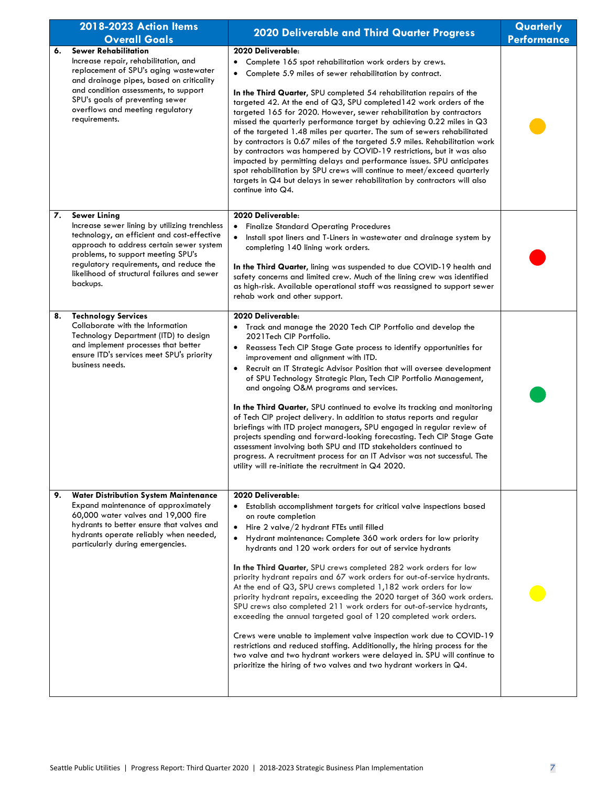|    | 2018-2023 Action Items                                                                                                                                                                                                                                                                                      | 2020 Deliverable and Third Quarter Progress                                                                                                                                                                                                                                                                                                                                                                                                                                                                                                                                                                                                                                                                                                                                                                                                                                                                                                                                                                                                                               | Quarterly          |
|----|-------------------------------------------------------------------------------------------------------------------------------------------------------------------------------------------------------------------------------------------------------------------------------------------------------------|---------------------------------------------------------------------------------------------------------------------------------------------------------------------------------------------------------------------------------------------------------------------------------------------------------------------------------------------------------------------------------------------------------------------------------------------------------------------------------------------------------------------------------------------------------------------------------------------------------------------------------------------------------------------------------------------------------------------------------------------------------------------------------------------------------------------------------------------------------------------------------------------------------------------------------------------------------------------------------------------------------------------------------------------------------------------------|--------------------|
|    | <b>Overall Goals</b>                                                                                                                                                                                                                                                                                        |                                                                                                                                                                                                                                                                                                                                                                                                                                                                                                                                                                                                                                                                                                                                                                                                                                                                                                                                                                                                                                                                           | <b>Performance</b> |
| 6. | <b>Sewer Rehabilitation</b><br>Increase repair, rehabilitation, and<br>replacement of SPU's aging wastewater<br>and drainage pipes, based on criticality<br>and condition assessments, to support<br>SPU's goals of preventing sewer<br>overflows and meeting regulatory<br>requirements.                   | 2020 Deliverable:<br>Complete 165 spot rehabilitation work orders by crews.<br>$\bullet$<br>Complete 5.9 miles of sewer rehabilitation by contract.<br>٠<br>In the Third Quarter, SPU completed 54 rehabilitation repairs of the<br>targeted 42. At the end of Q3, SPU completed 142 work orders of the<br>targeted 165 for 2020. However, sewer rehabilitation by contractors<br>missed the quarterly performance target by achieving 0.22 miles in Q3<br>of the targeted 1.48 miles per quarter. The sum of sewers rehabilitated<br>by contractors is 0.67 miles of the targeted 5.9 miles. Rehabilitation work<br>by contractors was hampered by COVID-19 restrictions, but it was also<br>impacted by permitting delays and performance issues. SPU anticipates<br>spot rehabilitation by SPU crews will continue to meet/exceed quarterly<br>targets in Q4 but delays in sewer rehabilitation by contractors will also<br>continue into Q4.                                                                                                                          |                    |
| 7. | <b>Sewer Lining</b><br>Increase sewer lining by utilizing trenchless<br>technology, an efficient and cost-effective<br>approach to address certain sewer system<br>problems, to support meeting SPU's<br>regulatory requirements, and reduce the<br>likelihood of structural failures and sewer<br>backups. | 2020 Deliverable:<br><b>Finalize Standard Operating Procedures</b><br>$\bullet$<br>Install spot liners and T-Liners in wastewater and drainage system by<br>completing 140 lining work orders.<br>In the Third Quarter, lining was suspended to due COVID-19 health and<br>safety concerns and limited crew. Much of the lining crew was identified<br>as high-risk. Available operational staff was reassigned to support sewer<br>rehab work and other support.                                                                                                                                                                                                                                                                                                                                                                                                                                                                                                                                                                                                         |                    |
| 8. | <b>Technology Services</b><br>Collaborate with the Information<br>Technology Department (ITD) to design<br>and implement processes that better<br>ensure ITD's services meet SPU's priority<br>business needs.                                                                                              | 2020 Deliverable:<br>Track and manage the 2020 Tech CIP Portfolio and develop the<br>2021 Tech CIP Portfolio.<br>Reassess Tech CIP Stage Gate process to identify opportunities for<br>$\bullet$<br>improvement and alignment with ITD.<br>Recruit an IT Strategic Advisor Position that will oversee development<br>$\bullet$<br>of SPU Technology Strategic Plan, Tech CIP Portfolio Management,<br>and ongoing O&M programs and services.<br>In the Third Quarter, SPU continued to evolve its tracking and monitoring<br>of Tech CIP project delivery. In addition to status reports and regular<br>briefings with ITD project managers, SPU engaged in regular review of<br>projects spending and forward-looking forecasting. Tech CIP Stage Gate<br>assessment involving both SPU and ITD stakeholders continued to<br>progress. A recruitment process for an IT Advisor was not successful. The<br>utility will re-initiate the recruitment in $Q4$ 2020.                                                                                                         |                    |
| 9. | <b>Water Distribution System Maintenance</b><br>Expand maintenance of approximately<br>60,000 water valves and 19,000 fire<br>hydrants to better ensure that valves and<br>hydrants operate reliably when needed,<br>particularly during emergencies.                                                       | 2020 Deliverable:<br>Establish accomplishment targets for critical valve inspections based<br>on route completion<br>Hire 2 valve/2 hydrant FTEs until filled<br>$\bullet$<br>Hydrant maintenance: Complete 360 work orders for low priority<br>$\bullet$<br>hydrants and 120 work orders for out of service hydrants<br>In the Third Quarter, SPU crews completed 282 work orders for low<br>priority hydrant repairs and 67 work orders for out-of-service hydrants.<br>At the end of Q3, SPU crews completed 1,182 work orders for low<br>priority hydrant repairs, exceeding the 2020 target of 360 work orders.<br>SPU crews also completed 211 work orders for out-of-service hydrants,<br>exceeding the annual targeted goal of 120 completed work orders.<br>Crews were unable to implement valve inspection work due to COVID-19<br>restrictions and reduced staffing. Additionally, the hiring process for the<br>two valve and two hydrant workers were delayed in. SPU will continue to<br>prioritize the hiring of two valves and two hydrant workers in Q4. |                    |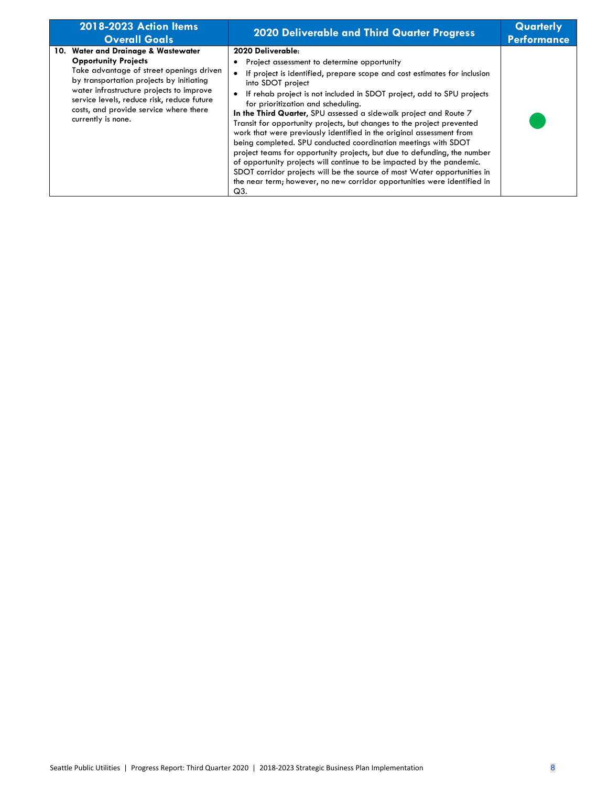| 2018-2023 Action Items<br><b>Overall Goals</b>                                                                                                                                                                                                                                                                       | <b>2020 Deliverable and Third Quarter Progress</b>                                                                                                                                                                                                                                                                                                                                                                                                                                                                                                                                                                                                                                                                                                                                                                                                                                                                      | Quarterly<br><b>Performance</b> |
|----------------------------------------------------------------------------------------------------------------------------------------------------------------------------------------------------------------------------------------------------------------------------------------------------------------------|-------------------------------------------------------------------------------------------------------------------------------------------------------------------------------------------------------------------------------------------------------------------------------------------------------------------------------------------------------------------------------------------------------------------------------------------------------------------------------------------------------------------------------------------------------------------------------------------------------------------------------------------------------------------------------------------------------------------------------------------------------------------------------------------------------------------------------------------------------------------------------------------------------------------------|---------------------------------|
| 10. Water and Drainage & Wastewater<br><b>Opportunity Projects</b><br>Take advantage of street openings driven<br>by transportation projects by initiating<br>water infrastructure projects to improve<br>service levels, reduce risk, reduce future<br>costs, and provide service where there<br>currently is none. | 2020 Deliverable:<br>Project assessment to determine opportunity<br>If project is identified, prepare scope and cost estimates for inclusion<br>$\bullet$<br>into SDOT project<br>If rehab project is not included in SDOT project, add to SPU projects<br>$\bullet$<br>for prioritization and scheduling.<br>In the Third Quarter, SPU assessed a sidewalk project and Route 7<br>Transit for opportunity projects, but changes to the project prevented<br>work that were previously identified in the original assessment from<br>being completed. SPU conducted coordination meetings with SDOT<br>project teams for opportunity projects, but due to defunding, the number<br>of opportunity projects will continue to be impacted by the pandemic.<br>SDOT corridor projects will be the source of most Water opportunities in<br>the near term; however, no new corridor opportunities were identified in<br>Q3. |                                 |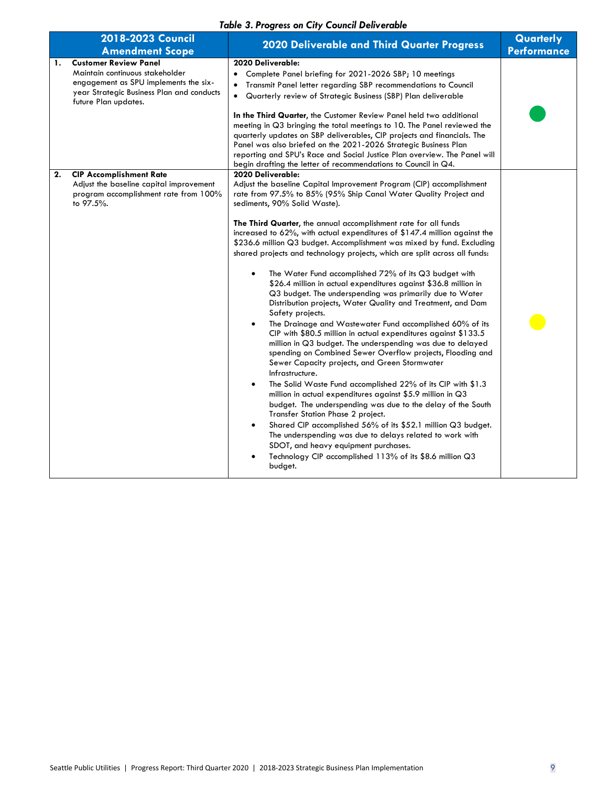#### *Table 3. Progress on City Council Deliverable*

| 2018-2023 Council<br><b>Amendment Scope</b>                                                                                                                                         | $19000$ villey variable $100$<br>~~~~~~~<br><b>2020 Deliverable and Third Quarter Progress</b>                                                                                                                                                                                                                                                                                                                                                                                                                                                                                                                                                                                                                                                                                                                                                                                                                                                                                                                                                                                                                                                                                                                                                                                                                                                                                                                                                                                               | Quarterly<br>Performance |
|-------------------------------------------------------------------------------------------------------------------------------------------------------------------------------------|----------------------------------------------------------------------------------------------------------------------------------------------------------------------------------------------------------------------------------------------------------------------------------------------------------------------------------------------------------------------------------------------------------------------------------------------------------------------------------------------------------------------------------------------------------------------------------------------------------------------------------------------------------------------------------------------------------------------------------------------------------------------------------------------------------------------------------------------------------------------------------------------------------------------------------------------------------------------------------------------------------------------------------------------------------------------------------------------------------------------------------------------------------------------------------------------------------------------------------------------------------------------------------------------------------------------------------------------------------------------------------------------------------------------------------------------------------------------------------------------|--------------------------|
| <b>Customer Review Panel</b><br>1.<br>Maintain continuous stakeholder<br>engagement as SPU implements the six-<br>year Strategic Business Plan and conducts<br>future Plan updates. | 2020 Deliverable:<br>Complete Panel briefing for 2021-2026 SBP; 10 meetings<br>$\bullet$<br>Transmit Panel letter regarding SBP recommendations to Council<br>$\bullet$<br>Quarterly review of Strategic Business (SBP) Plan deliverable<br>$\bullet$<br>In the Third Quarter, the Customer Review Panel held two additional<br>meeting in Q3 bringing the total meetings to 10. The Panel reviewed the<br>quarterly updates on SBP deliverables, CIP projects and financials. The<br>Panel was also briefed on the 2021-2026 Strategic Business Plan                                                                                                                                                                                                                                                                                                                                                                                                                                                                                                                                                                                                                                                                                                                                                                                                                                                                                                                                        |                          |
| <b>CIP Accomplishment Rate</b><br>2.<br>Adjust the baseline capital improvement                                                                                                     | reporting and SPU's Race and Social Justice Plan overview. The Panel will<br>begin drafting the letter of recommendations to Council in Q4.<br>2020 Deliverable:<br>Adjust the baseline Capital Improvement Program (CIP) accomplishment                                                                                                                                                                                                                                                                                                                                                                                                                                                                                                                                                                                                                                                                                                                                                                                                                                                                                                                                                                                                                                                                                                                                                                                                                                                     |                          |
| program accomplishment rate from 100%<br>to 97.5%.                                                                                                                                  | rate from 97.5% to 85% (95% Ship Canal Water Quality Project and<br>sediments, 90% Solid Waste).<br>The Third Quarter, the annual accomplishment rate for all funds<br>increased to 62%, with actual expenditures of \$147.4 million against the<br>\$236.6 million Q3 budget. Accomplishment was mixed by fund. Excluding<br>shared projects and technology projects, which are split across all funds:<br>The Water Fund accomplished 72% of its Q3 budget with<br>\$26.4 million in actual expenditures against \$36.8 million in<br>Q3 budget. The underspending was primarily due to Water<br>Distribution projects, Water Quality and Treatment, and Dam<br>Safety projects.<br>The Drainage and Wastewater Fund accomplished 60% of its<br>CIP with \$80.5 million in actual expenditures against \$133.5<br>million in Q3 budget. The underspending was due to delayed<br>spending on Combined Sewer Overflow projects, Flooding and<br>Sewer Capacity projects, and Green Stormwater<br>Infrastructure.<br>The Solid Waste Fund accomplished 22% of its CIP with \$1.3<br>million in actual expenditures against \$5.9 million in Q3<br>budget. The underspending was due to the delay of the South<br>Transfer Station Phase 2 project.<br>Shared CIP accomplished 56% of its \$52.1 million Q3 budget.<br>The underspending was due to delays related to work with<br>SDOT, and heavy equipment purchases.<br>Technology CIP accomplished 113% of its \$8.6 million Q3<br>budget. |                          |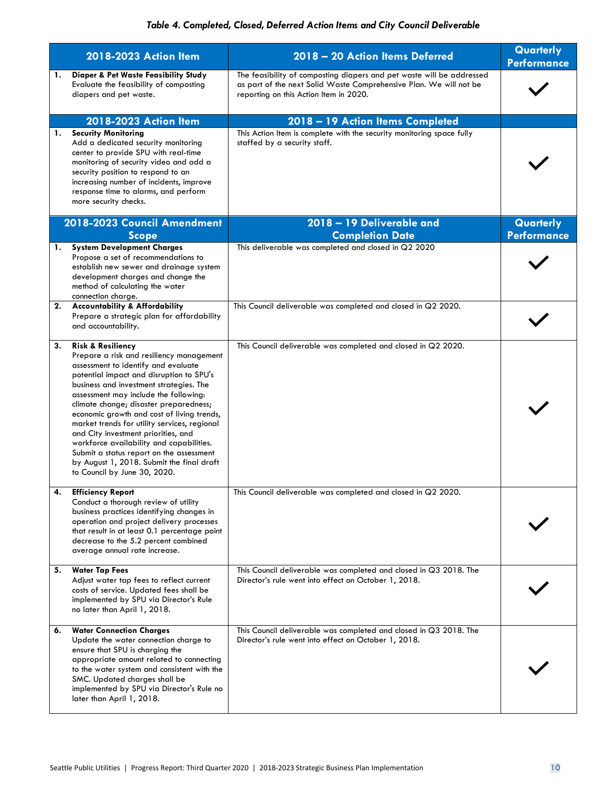#### *Table 4. Completed, Closed, Deferred Action Items and City Council Deliverable*

|    | 2018-2023 Action Item                                                                                                                                                                                                                                                                                                                                                                                                                                                                                                                                                                               | 2018 - 20 Action Items Deferred                                                                                                                                                       | Quarterly<br><b>Performance</b> |
|----|-----------------------------------------------------------------------------------------------------------------------------------------------------------------------------------------------------------------------------------------------------------------------------------------------------------------------------------------------------------------------------------------------------------------------------------------------------------------------------------------------------------------------------------------------------------------------------------------------------|---------------------------------------------------------------------------------------------------------------------------------------------------------------------------------------|---------------------------------|
| 1. | Diaper & Pet Waste Feasibility Study<br>Evaluate the feasibility of composting<br>diapers and pet waste.                                                                                                                                                                                                                                                                                                                                                                                                                                                                                            | The feasibility of composting diapers and pet waste will be addressed<br>as part of the next Solid Waste Comprehensive Plan. We will not be<br>reporting on this Action Item in 2020. |                                 |
|    | 2018-2023 Action Item                                                                                                                                                                                                                                                                                                                                                                                                                                                                                                                                                                               | 2018 - 19 Action Items Completed                                                                                                                                                      |                                 |
| 1. | <b>Security Monitoring</b><br>Add a dedicated security monitoring<br>center to provide SPU with real-time<br>monitoring of security video and add a<br>security position to respond to an<br>increasing number of incidents, improve<br>response time to alarms, and perform<br>more security checks.                                                                                                                                                                                                                                                                                               | This Action Item is complete with the security monitoring space fully<br>staffed by a security staff.                                                                                 |                                 |
|    | 2018-2023 Council Amendment<br><b>Scope</b>                                                                                                                                                                                                                                                                                                                                                                                                                                                                                                                                                         | 2018 - 19 Deliverable and<br><b>Completion Date</b>                                                                                                                                   | Quarterly<br><b>Performance</b> |
| 1. | <b>System Development Charges</b><br>Propose a set of recommendations to<br>establish new sewer and drainage system<br>development charges and change the<br>method of calculating the water<br>connection charge.                                                                                                                                                                                                                                                                                                                                                                                  | This deliverable was completed and closed in Q2 2020                                                                                                                                  |                                 |
| 2. | <b>Accountability &amp; Affordability</b><br>Prepare a strategic plan for affordability<br>and accountability.                                                                                                                                                                                                                                                                                                                                                                                                                                                                                      | This Council deliverable was completed and closed in Q2 2020.                                                                                                                         |                                 |
| 3. | <b>Risk &amp; Resiliency</b><br>Prepare a risk and resiliency management<br>assessment to identify and evaluate<br>potential impact and disruption to SPU's<br>business and investment strategies. The<br>assessment may include the following:<br>climate change; disaster preparedness;<br>economic growth and cost of living trends,<br>market trends for utility services, regional<br>and City investment priorities, and<br>workforce availability and capabilities.<br>Submit a status report on the assessment<br>by August 1, 2018. Submit the final draft<br>to Council by June 30, 2020. | This Council deliverable was completed and closed in Q2 2020.                                                                                                                         |                                 |
| 4. | <b>Efficiency Report</b><br>Conduct a thorough review of utility<br>business practices identifying changes in<br>operation and project delivery processes<br>that result in at least 0.1 percentage point<br>decrease to the 5.2 percent combined<br>average annual rate increase.                                                                                                                                                                                                                                                                                                                  | This Council deliverable was completed and closed in Q2 2020.                                                                                                                         |                                 |
| 5. | <b>Water Tap Fees</b><br>Adjust water tap fees to reflect current<br>costs of service. Updated fees shall be<br>implemented by SPU via Director's Rule<br>no later than April 1, 2018.                                                                                                                                                                                                                                                                                                                                                                                                              | This Council deliverable was completed and closed in Q3 2018. The<br>Director's rule went into effect on October 1, 2018.                                                             |                                 |
| 6. | <b>Water Connection Charges</b><br>Update the water connection charge to<br>ensure that SPU is charging the<br>appropriate amount related to connecting<br>to the water system and consistent with the<br>SMC. Updated charges shall be<br>implemented by SPU via Director's Rule no<br>later than April 1, 2018.                                                                                                                                                                                                                                                                                   | This Council deliverable was completed and closed in Q3 2018. The<br>Director's rule went into effect on October 1, 2018.                                                             |                                 |